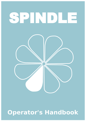

# **Operator's Handbook**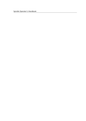Spindle Operator's Handbook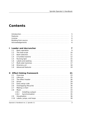## **Contents**

|   | License |                                                                                                                                                                                                                                | 5<br>5<br>6<br>6<br>6 |
|---|---------|--------------------------------------------------------------------------------------------------------------------------------------------------------------------------------------------------------------------------------|-----------------------|
| L |         | <b>Loader and decruncher</b>                                                                                                                                                                                                   | 7                     |
|   | 1.1     |                                                                                                                                                                                                                                | 9                     |
|   | 1.2     | The load script response to the contract of the load script response to the contract of the load schedule of the load schedule of the load schedule of the load schedule of the load schedule of the load schedule of the load | 10                    |
|   | 1.3     |                                                                                                                                                                                                                                | 11                    |
|   | 1.4     |                                                                                                                                                                                                                                | 12                    |
|   | 1.5     |                                                                                                                                                                                                                                | 15                    |
|   | 1.6     |                                                                                                                                                                                                                                | 16                    |
|   | 1.7     |                                                                                                                                                                                                                                | 17                    |
|   | 1.8     |                                                                                                                                                                                                                                | 18                    |
|   | 1.9     |                                                                                                                                                                                                                                | 19                    |
| П |         | <b>Effect linking framework</b>                                                                                                                                                                                                | 21                    |
|   | 2.1     |                                                                                                                                                                                                                                | 23                    |
|   | 2.2     |                                                                                                                                                                                                                                | 25                    |
|   | 2.3     |                                                                                                                                                                                                                                | 26                    |
|   | 2.4     |                                                                                                                                                                                                                                | 29                    |
|   | 2.5     |                                                                                                                                                                                                                                | 29                    |
|   | 2.6     |                                                                                                                                                                                                                                | 30                    |
|   | 2.7     | Making a chain research and contact the contract of the contract of the material contract of the material of the material of the material of the material of the material of the material of the material of the material of t | 32                    |
|   | 2.8     |                                                                                                                                                                                                                                | 33                    |
|   |         | 2.8.1                                                                                                                                                                                                                          | 33                    |
|   |         | 2.8.2                                                                                                                                                                                                                          | 35                    |
|   | 2.9     |                                                                                                                                                                                                                                | 36                    |
|   | 2.10    |                                                                                                                                                                                                                                | 39                    |

Operator's Handbook rev. 2, Spindle 3.1 3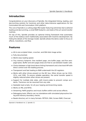### **Introduction**

Congratulations on your discovery of Spindle, the integrated linking, loading, and decrunching solution for trackmos and other data-intensive applications for the Commodore 64 and Commodore 1541 platform.

The core of Spindle is a cutting-edge IRQ loader featuring extremely fast scattered loading and decrunching, a small RAM footprint, and state of the art serial transfer routines.

On top of this, Spindle provides an optional linking framework that automates much of the tedious work traditionally associated with trackmo development. By hiding the details of the storage model, Spindle allows the demo coder to focus on effects, transitions, and flow.

### **Features**

- All-in-one scripted linker, cruncher, and D64 disk image writer.
- Fully documented.
- World class loading speed.
- Tiny memory footprint: One resident page, one buffer page, and five zeropage bytes. Buffer and zero-page areas are free to use between loader calls.
- Choice between a high-level demo linking framework and a low-level API with direct control over the loading process.
- Transparent and fast loading to RAM underneath the I/O registers.
- Works with other drives present on the IEC bus. Other drives can be 1541, 157x, and 1581. To ensure reliable operation, the serial transfer speed is slightly reduced when other drives are present.
- Support for multiple disk sides, with knock-codes to prevent compo accidents. Trackmos can be resumed from any side.
- Seekable load scripts, for all your looping and branching needs.
- Works on PAL and NTSC.
- Streaming: Refill graphics and music buffers within and across effects.
- Debugging tools: Effects can run standalone with simulated playroutine timing and memory boundary checks.
- Reads directory art in many formats: PETSCII, D64, Screen RAM, Charcoal.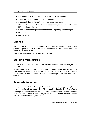- Fully open source, with prebuilt binaries for Linux and Windows.
- Extensively tested, including on THCM's highly picky drive.
- Innovative hybrid scattered/linear decrunching algorithm.
- Advanced drivecode features: Headerless scanning, triple sector buffers, and GCR decoding on the fly.
- Invented Here Stepping<sup>TM</sup> keeps the data flowing during track changes.
- Reset detection.
- 40-track mode.

### **License**

Go ahead and use this in your demos! You can include the spindle logo (examples/ pefchain/spindlelogo) if you like, but you don't have to. I would appreciate some credit, e.g. "Loader by lft".

Please refer to the file COPYING for the formal stuff.

### **Building from source**

Spindle is distributed with precompiled binaries for Linux (i386 and x86\_64) and Windows.

To build the toolchain from source you need the xa65 cross-assembler, a C compiler, and make. Under Linux, enter the src directory and run make. To cross-compile the Windows binaries on a Linux system, you need mingw32, and then you can run make win.

### **Acknowledgements**

I would like to thank the following individuals for inspiration, suggestions, bug reports, and testing: **Bitbreaker**, **Krill**, **Ninja**, **Raistlin**, **Sparta**, **THCM**, and **Walt**.

Greetings to Spindle users all over the world, including Arise, Atlantis, Atwoods Studios, Bonzai, Chorus, Defame, Delysid, Desire, The Dreams, Extend, Genesis Project, Samar Productions, and Triad.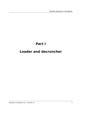Spindle Operator's Handbook

# **Part I**

# **Loader and decruncher**

Operator's Handbook rev. 2, Spindle 3.1 7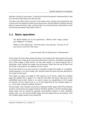Spindle consists of two layers: a high-level linking framework implemented on top of a low-level IRQ loader and decruncher.

The Spin tool offers direct access to the lower layer, giving the programmer full control over the loading and decrunching process, and the ability to specify exactly what to load and when. Spin could be seen as a slimmed-down alternative to the full linking framework described in Part II.

### **1.1 Basic operation**

The White Rabbit put on his spectacles. "Where shall I begin, please your Majesty?" he asked.

"Begin at the beginning", the King said, very gravely, "and go on till you come to the end: then stop."

—Lewis Carroll, Alice's Adventures in Wonderland

At the heart of every Spin-based trackmo is the load script. Spin parses the script at compile-time, reads and crunches all files that it refers to, and bakes everything into a disk image in D64 format. On the disk image is a small program file—a bootstrap—that installs the loader and drivecode, loads the first set of files from the script, and jumps to an address of your choice.

Once the trackmo is up and running, it normally invokes the loader in a predetermined sequence. For each loader call, Spindle loads the data that was specified in the script at that point.

The loader occupies one page of C64 memory at all times, called the resident page. By default this is page 2 (i.e. 200-2ff, just after the stack). Because of the predefined load script, there is no need to pass any parameters to the loader at runtime. All you need to do is jsr to the beginning of the resident page (i.e. jsr \$200 when using the default location).

During loader calls, Spindle overwrites a separate buffer page (300-3ff by default) and five consecutive zero-page locations (f4-f8 by default). Like the resident page, these areas can be moved by passing commandline options to Spin. Between loader calls, you can use the buffer page and zero-page area as you please; only the resident page needs to be preserved.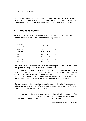Starting with version 3.0 of Spindle, it is also possible to break the predefined sequence by seeking to arbitrary points in the load script. This can be used to create looping or branching demos and is described in detail in a later section.

### **1.2 The load script**

Let us have a look at a typical load script. It is taken from the complete Spin example included in the Spindle distribution (examples/spin).

| demo.prg<br>Specular_Highlight.sid | 1000 | 7e   |      |
|------------------------------------|------|------|------|
| pic1.kla                           | 6000 | 2    | 1f40 |
| pic1.kla                           | 4000 | 1f42 |      |
| pic2.kla                           | 6000 | 2    | 1f40 |
| pic2.kla                           | 4000 | 1f42 |      |
| pic3.kla                           | 6000 | 2    | 1f40 |
| pic3.kla                           | 4000 | 1f42 |      |

Blank lines are used to divide the script into paragraphs, where each paragraph corresponds to a single loader call, also known as a job.

A job is made from one or more data chunks, listed in a four-column format. The first column specifies a filename, which may optionally be enclosed in quotes ("). This is the only mandatory column. The second column specifies a loading address. If the loading address is zero or omitted, the first two bytes of the file are used. Loading to shadow RAM (in the d000-dfff range) works transparently.

Earlier versions of Spin also allowed you to load directly into I/O registers by adding an exclamation mark after the load address. This rarely used feature has been removed for performance reasons.

The third column specifies a byte offset within the file. Spin will seek to this offset before reading from the file (also before reading the load address, where applicable). The fourth column specifies the number of bytes to read.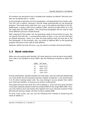All numbers are assumed to be in hexadecimal notation by default. Decimal numbers are accepted with  $a + prefix$ .

In the example script there are four paragraphs, corresponding to four loader calls. The first call is implicit, because it will be made automatically by the bootstrap program. This loads some code from demo.prg, to the address specified in the file. Additionally, it loads a SID tune to address 1000, starting at byte offset 7e in the file (right past the PSID header). The remaining paragraphs will be used to load three different pictures in Koala format.

After making the first loader call, the bootstrap needs to know where to jump. You can specify this with the -e commandline option to Spin, or you can let it fall back on default behaviour, which is to take the load address from the first file in the first paragraph. In the example, demo.prg loads to address 800, so the bootstrap program will jump to the code at that address.

However, before we look into demo.prg, we need to consider some practicalities.

### **1.3 Bank selection**

When you are working with Spindle, VIC bank selection must be done using dd02. Your code is not allowed to touch dd00. Use the following constants to select VIC bank:

| dd02. | VIC bank  |
|-------|-----------|
| Зc    | 0000-3fff |
| 3d    | 4000-7fff |
| Зe    | 8000-bfff |
| 3f    | c000-ffff |

During initialisation, Spindle disables CIA interrupts, sets the interrupt-disable flag (sei) and writes 35 into the bank selection register at address 1. You should leave it at 35 when making loader calls. You may change it as you please from within your interrupt handlers, as long as you restore it afterwards.

The loader will only ever write 35 or 34 to address 1, and it will only write 34 when it has been explicitly asked to load into shadow RAM (in the range d000–dfff). Thus, you only need to save and restore this register from your interrupt routines if they will execute during a loader call that involves shadow RAM.

To save a few cycles, you can use the following trick instead of preserving the value at address 1: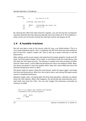```
interrupt:
      dec 0 ; go from 2f to 2e
      ; ...interrupt code goes here...
      lsr $d019 ; acknowledge the raster irq
      inc 0 ; back to 2f
      rti
```
By clearing the LSB of the data direction register, you are forcing the corresponding bank selection bit high. Because Spindle only ever writes 34 or 35 to address 1, what comes out of the port during the interrupt routine will always be 35.

### **1.4 A humble trackmo**

We will now take a look at the source code for demo.prg (listed below). This is a very small slideshow demo. First, it initialises the SID tune that was also loaded as part of the first, implicit, loader call. Then it sets up a raster interrupt to call the playroutine.

After setting up the music player and selecting the proper graphics mode and VIC bank, the first explicit loader call is made. In accordance with the script above, this will load the first Koala picture. The bitmap is loaded (and decrunched) at 6000, and the video matrix, colour RAM and background colour are loaded at 4000. Next, the demo proceeds to copy the loaded colour data into colour RAM and store the desired background colour in d021.

The demo waits for space, loads the next picture, waits for space again, and loads the third and final picture. After this, the script is done, and calling 200 again would result in undefined behaviour.

Between loader calls—including after the final load operation—Spindle can detect when the C64 reboots. When that happens, the drivecode will automatically uninstall itself and reset the 1541. You can also trigger this behaviour manually by writing 0 to dd00.

```
; This is an example demo bundled with Spindle
; linusakesson.net/software/spindle/
       .word entry
       * = $800
```
entry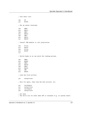```
; Call music init.
lda #0
jsr $1000
; Set up raster interrupt.
lda #$3b
sta $d011
lda #$ff
sta $d012
lda #$01
sta $d01a
lsr $d019
; Install IRQ handler to call playroutine.
lda #<irq
sta $fffe
lda #>irq<br>sta $ffff
       $ffff
cli
; Switch banks so we can watch the loading process.
lda #$3d
sta $dd02
lda #$08
sta $d018
lda #$18
sta $d016
lda #$0
sta $d020
; Load the first picture.
jsr nextpicture
; Wait for space, then load the next picture, etc.
jsr wait4space
jsr nextpicture
jsr wait4space
jsr nextpicture
; All done.
; The drive will be reset when ATN is released (e.g. at system reset).
```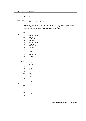```
jmp *
nextpicture
       jsr $200 ; Call the loader.
       ; Since Spindle 3.0, we cannot load directly into colour RAM, because
       ; that wouldn't work with in-place decrunching. So we load the colours
       ; just after the vm data, and copy them into place.
       ldx #0
copy
       lda $4000+1000,x
       sta $d800,x
       lda $4100+1000,x
       sta $d900,x
       lda $4200+1000,x
       sta $da00,x
       lda $4300+1000,x
       sta $db00,x
       inx
              copy
       lda $4000+2000
       sta $d021
       rts
wait4space
       lda #$ff
       sta $dc02
       lsr
       sta $dc00
       lda #$10
       bit $dc01
       beq *-3
       bit $dc01
       bne *-3
       rts
       ; A simple IRQ to call the playroutine and acknowledge the interrupt.
irq
       pha
       txa
       pha
       tya
       pha
       jsr $1003
       pla
       tay
```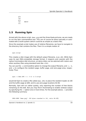pla tax pla lsr \$d019 rti

### **1.5 Running Spin**

Armed with the above script, demo.prg and the three Koala pictures, we are ready to run the Spin commandline tool. This can of course be done manually or automated with a build system (which could be as simple as a batch file).

Since the example script makes use of relative filenames, we have to navigate to the directory that contains the files. Then it is a simple matter of:

spin script

This creates a disk image with the default output filename, disk.d64. While Spin uses its own D64-compatible storage format, it respects and coexists with the native Commodore disk structure, so demo disks can be adorned with noters and other auxiliary files using standard tools like c1541.

You can use the -o commandline option to change the output filename, and -r, -b, and -z to configure the resident page, buffer page, and zero-page area, respectively. Thus:

spin -o demo.d64 -r c -b d -z 2 script

would tell Spin to create a file called demo.d64, to place the resident loader at c00 and the buffer page at d00, and to use zero-page locations 02-06.

Normally, Spin will run rather quietly, only reporting the number of free blocks remaining on the disk. But you may find it illuminating to enable verbose output by specifying the -v option one or more times. For the example above, -v provides the following summary:

0800-0895 "demo.prg": 150 bytes crunched to 141, ratio 94.00%.

Operator's Handbook rev. 2, Spindle 3.1 15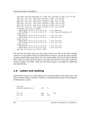1000-35d6 "Specular\_Highlight.sid": 9687 bytes crunched to 5405, ratio 55.80%. 6000-7f3f "pic1.kla": 8000 bytes crunched to 5480, ratio 68.50%. 4000-47d0 "pic1.kla": 2001 bytes crunched to 936, ratio 46.78%. 6000-7f3f "pic2.kla": 8000 bytes crunched to 5999, ratio 74.99%. 4000-47d0 "pic2.kla": 2001 bytes crunched to 1082, ratio 54.07%. 6000-7f3f "pic3.kla": 8000 bytes crunched to 6236, ratio 77.95%. 4000-47d0 "pic3.kla": 2001 bytes crunched to 972, ratio 48.58%. At startup (with entry at \$0800): \* \$0800-\$0895 (a9 00 20 00 10 a9 3b 8d ...) from "demo.prg" \* \$1000-\$35d6 (4c 10 14 a2 00 bd 00 19 ...) from "Specular\_Highlight.sid" Loader call #1: \* \$6000-\$7f3f (55 55 55 55 55 55 55 55 ...) from "pic1.kla" \* \$4000-\$47d0 (00 00 00 00 00 00 00 0b ...) from "pic1.kla" Loader call #2: \* \$6000-\$7f3f (fc 33 cc 33 cc 33 cf c3 ...) from "pic2.kla" \* \$4000-\$47d0 (00 00 09 00 00 00 09 09 ...) from "pic2.kla" Loader call #3: \* \$6000-\$7f3f (ea aa ea aa aa aa aa aa ...) from "pic3.kla" \* \$4000-\$47d0 (07 0a 0a 0a 0a a2 00 0a ...) from "pic3.kla" demo.d64: 557 blocks free (538 for DOS).

The last line of output tells you how many sectors are left on the disk. Spindle needs to occupy whole tracks for performance reasons, so the last track usually contains some empty space that can't be used by DOS. The first number ("blocks free") tells you how much the demo can grow and still fit on the disk, while the second number ("for DOS") tells you how much space is available for additional non-Spindle files.

### **1.6 Labels and seeking**

Starting with version 3.0, Spin allows you to declare labels in the load script, and jump to these labels at runtime. A label is a hexadecimal number in the range 00- 3f followed by a colon:

| demo.prg               |      |      |      |
|------------------------|------|------|------|
| Specular_Highlight.sid | 1000 | 7e   |      |
|                        |      |      |      |
| 1:                     |      |      |      |
| pic1.kla               | 6000 | 2    | 1f40 |
| pic1.kla               | 4000 | 1f42 |      |
|                        |      |      |      |
| 2:                     |      |      |      |
|                        |      |      |      |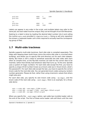| pic2.kla                    | 6000         | 2                                   | 1f40 |
|-----------------------------|--------------|-------------------------------------|------|
| pic2.kla                    | 4000         | 1f42                                |      |
| 1f:<br>pic3.kla<br>pic3.kla | 6000<br>4000 | $\mathcal{D}_{\mathcal{L}}$<br>1f42 | 1f40 |

Labels can appear in any order in the script, and multiple labels may refer to the same job, but each label must be unique; they can be thought of as 6-bit filenames.

Seeking to a label is done by loading the desired label number into A and calling the routine spin\_seek provided in template/seek.s. Doing so will only reposition the stream; a separate loader call is then required to actually load the corresponding group of files.

### **1.7 Multi-side trackmos**

Spindle supports multi-side trackmos. Each disk side is compiled separately. This helps with keeping down build times (since the entire disk side is crunched when building), and allows you to specify title and directory art for each side independently. But there is still a need to somehow associate the disk sides with each other at compile time, so the flip-disk routines can wait for the correct disk to be inserted, rather than blindly load whatever data that turns up. To this end, Spindle uses a system of magic numbers: For each disk side except the first, you have to specify a unique 24-bit number known as a knock code (as in: Knock knock, what's the password?). For each disk side except the last, you have to specify the correct knock code for the next disk side. You can generate knock codes using any random number generator. Please do that, rather than using mnemonic values that others might also pick.

For each disk side, you specify its own knock code using --my-magic, and the knock code of the next side using --next-magic. Here is an example, for a threeside demo:

spin -o side1.d64 --next-magic c7189d script1 spin -o side2.d64 --my-magic c7189d --next-magic 0f91e9 script2 spin -o side3.d64 --my-magic 0f91e9 script3

When you specify the --next-magic option, spin adds two invisible loader calls to the end of the script. The first of these extra loader calls will block until the next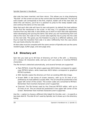disk side has been inserted, and then return. This allows you to stop displaying "flip disk" on the screen as soon as the correct disk has been detected. The second extra loader call corresponds to the first, implicit, loader call of the next disk. So when this call returns, you'll be in a position to jump to the newly loaded code, and continue the demo on the new side.

Note that each disk side will have its own entrypoint, by default the load address of the first file mentioned in the script. In this way, it is possible to restart the trackmo from any disk side. It also allows you to work on each disk side separately when developing and syncing the demo. But when you are transitioning from one side to the next, the code on the current side explicitly has to jump into the code on the next side. This gives you the freedom to jump to a different address, and thus to treat the transition from side 1 to side 2 differently from the case where the user boots directly into side 2.

All disk sides must be compiled with the same version of Spindle and use the same resident page, buffer page, and zero-page area.

### **1.8 Directory art**

Spin lets you load up to 48 lines of directory art from a file with -a. Directory art is always 16 characters wide, and you can't use colours or inverted PETSCII characters.

The file format is detected automatically, and several formats are supported:

- Plain PETSCII: A text file where uppercase ASCII letters correspond to uppercase PETSCII letters, while lowercase ASCII letters correspond to graphical PETSCII symbols.
- D64: Spindle copies the directory art from an existing D64 disk image.
- Screen RAM: A raw dump of screen memory, with up to 25 lines of art, prefixed by its load address (usually 400). The art should be positioned in the upper left corner of the screen. The screen codes are converted to PETSCII. Remember that inverted characters aren't supported.
- Charcoal: The file format used by the Charcoal PETSCII editor, with up to 25 lines of art. The art should be positioned in the upper left corner of the screen. Remember that inverted characters aren't supported.

Use the -t option to choose a different title (label) for the disk, and -i to specify a two-byte disk ID. The disk ID isn't used by Spindle, but it shows up in the directory listing.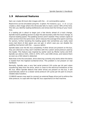### **1.9 Advanced features**

Spin can create 40-track disk images with the --40 commandline option.

Read errors can be simulated using the -E option. For instance, spin -E 30 script creates a disk image where the drivecode fails to read a sector 30% of the time. This lets you identify loading bottlenecks and stress-test the timing of your trackmos.

If a loading job is about to begin just a few blocks ahead of a track change, Spindle inserts padding sectors to align the job boundary with the track change, to improve loading speed. The padding sectors aren't wasted: They contain copies of other sectors from the same track, which reduces the average time spent scanning for sectors, further boosting the loading speed. But sometimes you really need every last block of disk space you can get, in which case you can disable the padding mechanism with the --squeeze option.

Spindle takes over the IEC bus completely. If other drives are present on the bus, they are silenced so they won't interfere with the custom serial protocol used by the loader. This feature was inspired by earlier work by Monte Carlos and Krill. Spindle can silence 1541, 1541-II, 1570, 1571, and 1581 drives, and restore them as soon as a C64 reboot is detected.

Note that in the Vice emulator, drive silencing currently only works when the demo is loaded from the highest-numbered drive. This problem is not present on real hardware.

Normally, Spindle uses a very fast serial protocol (18 cycles per bit pair) when transferring data from the drive, which is close to the electrical limitations of the IEC bus. When Spindle detects that other drives are present on the bus, it will automatically switch to a slower serial protocol (19 cycles per bit pair) to ensure reliable data transfers.

C128DCR owners may want to connect an external floppy drive just to enforce the slow protocol, to cope with the high IEC bus capacitance on that machine.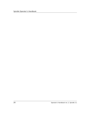Spindle Operator's Handbook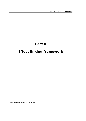Spindle Operator's Handbook

# **Part II**

# **Effect linking framework**

Operator's Handbook rev. 2, Spindle 3.1 21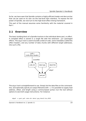So far, we have seen that Spindle contains a highly efficient loader and decruncher that can be used on its own via the low-level Spin interface. To expose the full power of Spindle, we now turn to the high-level effect linking framework.

This part of the manual assumes some familiarity with the material covered in Part I.

### **2.1 Overview**

The basic building block of a Spindle trackmo is the individual demo part, or effect. A compiled effect is stored in a single file with the extension .pef (packaged effect). The mkpef tool is used to bundle a blob of code, some metadata (called the effect header), and any number of data chunks with different target addresses, into such a file.



The mkpef tool is straightforward to use. Simply list the data files on the commandline, and optionally specify an output filename with -o. It is possible to supply load address, offset, and length using a comma-based syntax (run the tool without options to see brief usage instructions). For instance:

mkpef -o part.pef code.efo data1.prg data2.bin,4000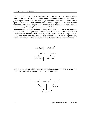The first chunk of data in a packed effect is special, and usually contains all the code for the part. It's called an effect object (filename extension .efo), but it's just a regular binary file produced by your favourite assembler. It starts with a special effect header that contains, among other things, six pointers to routines that represent various stages of the effect lifecycle (described in detail below): prepare, setup, interrupt, main, fadeout, and cleanup.

During development and debugging, the packed effect can run as a standalone C64 program. The tool pef2prg converts a .pef file into a C64 executable file that runs the effect, optionally with a dummy music player that occupies a given number of rasterlines. The same tool can also produce a Vice monitor script to verify that the effect stays within the memory bounds declared in the effect header.



Another tool, Pefchain, links together several effects according to a script, and produces a complete trackmo in the form of a D64 image.

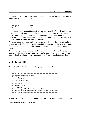In contrast to Spin, which was reading a script of jobs (i.e. loader calls), Pefchain works with a script of effects:

| part1.pef | space |
|-----------|-------|
| part2.pef | space |

In the effect script, you get to specify a transition condition for each part, typically space during early development (waiting for the user to press space). Later on, these conditions are changed into e.g. waiting for a memory address to contain a given value, for synchronising with music. The trigger condition is always space for standalone executables created by pef2prg.

An effect does not necessarily correspond to a loader job. Pefchain splits the chunks of each effect along page boundaries, recombines them, and arranges for the resulting snippets to be loaded at various loading slots throughout the trackmo.

This system provides creative freedom by allowing you to reorder effects very easily. Spindle automatically decides what to load and when, and computes an optimal loading schedule, while you are free to focus on aesthetics and flow.

### **2.2 Lifecycle**

This is the lifecycle of a Spindle effect, regarded in isolation:

```
----- Preparations -----------------------------------------
1. Load any remaining sectors
2. Call prepare
----- Switchover -------------------------------------------
3. Disable interrupts
4. Store the address of the interrupt routine at fffe-ffff
5. Call setup
6. Enable interrupts
----- Running ----------------------------------------------
7. Repeatedly call main until some condition (e.g. space)
8. Repeatedly call main and fadeout until fadeout sets carry
----- Aftermath --------------------------------------------
9. Call cleanup
```
All of the routines are optional: Supply a null pointer to make Spindle ignore a par-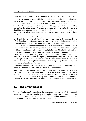ticular vector. Most new effects start out with just prepare, setup and interrupt.

The prepare routine is responsible for the bulk of the initialisation. This is where you generate speedcode and tables, make copies of graphics data across multiple banks and so on. You should not write to any VIC registers in prepare.

The job of the setup routine is to initialise the VIC registers (including colour RAM) just before the effect starts. This routine executes with interrupts disabled, and should be fast. Don't forget to initialise d011, d012, d015, d016, d018 and dd02. Your part may follow some other part that leaves unexpected values in these registers.

The interrupt routine obviously executes in interrupt context; this pointer is written directly to the vector at fffe. Of course you can modify fffe as part of your effect; Spindle only writes this vector at step 4 in order to minimise the amount of boilerplate code needed to get a new demo part up and running.

The main routine is intended for effects that fill a framebuffer as fast as possible but don't achieve full frame rate (sometimes known as "newskool effects"). Try to avoid using a main routine if you can, since Spindle cannot load while it is active.

The fadeout routine typically does two things: It triggers a fadeout operation, usually by setting a global flag that affects the behaviour of the running effect. It also monitors the fadeout in progress, returning with carry set if the fadeout has completed. Mnemonic: "Carry on" with the next effect. If the demo part is main-less, fadeout is simply called repeatedly in a tight loop. Otherwise, Spindle alternately calls main and fadeout.

In addition, fadeout plays a special role during non-linear operation (jumping around in the effect script), which will be described in a later section.

Finally, the cleanup routine can be used to tear down the demo part in a controlled fashion. It is called while interrupts are still enabled, but you can put a sei instruction inside cleanup if this is desirable. You could, for instance, install a non-maskable timer interrupt in setup and disable it in cleanup. Or you could use cleanup to wait for a particular rasterline before moving on to the next demo part.

### **2.3 The effect header**

The .efo file, i.e. the file containing the assembled code for the effect, must start with a special header. All you have to do is place some constant declarations at the top of the source code, with information for the linking system and pointers to a few routines. Use template/effect.s as a starting point.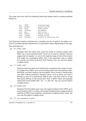The code must start with the following fixed-size header (with no loading address before it):

| .byt  | "EF02"    | ; fileformat magic             |
|-------|-----------|--------------------------------|
| .word | prepare   | ; prepare routine              |
| .word | setup     | ; setup routine                |
| .word | interrupt | ; irq handler                  |
| .word | main      | ; main routine                 |
| .word | fadeout   | ; fadeout routine              |
| .word | cleanup   | ; cleanup routine              |
| .word | callmusic | ; location of playroutine call |

The fixed-size header is followed by a variable-size list of options. An option consists of a single tag byte followed by 0–2 parameter bytes (depending on the tag).

#### The valid tags are:

.byt "P",FIRST,LAST

Declares that this demo part uses the range of memory pages from FIRST up to and including LAST. There is no need to declare memory pages that are loaded, i.e. are in the loading range of one of the chunks that make up a packaged effect. But if you generate code or tables at runtime, you have to declare that memory. You can use this option multiple times.

#### .byt "I",FIRST,LAST

Declares that this demo part inherits the contents of the range of memory pages from FIRST up to and including LAST from the previous part. Normally, you don't need to use this option. But it comes in handy when you start coding transitions between parts, such as when you load a bitmap as part of a preliminary fade-in part, and then wish to re-use that same bitmap in the actual part. Also, a BASIC fader will typically inherit the screen buffer with . byt "I", \$04, \$07. You can use this option multiple times.

#### .byt "Z",FIRST,LAST

Declares that this demo part uses zero-page locations from FIRST up to and including LAST. It is often convenient to keep all zero-page locations used by an effect close together, and declare a slightly larger range. You can use this option multiple times.

```
.byt "S" (no parameter bytes)
```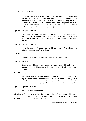"Safe I/O". Declares that any interrupt handlers used in this demo part are able to coexist with loading operations that access shadow RAM at d000-dfff. In practice, such interrupt handlers should back up the value at address 1, store 35 into 1, handle and acknowledge the interrupt, and finally restore the previous value at address 1 (but see the earlier section on bank selection for a neat trick).

.byt "U" (no parameter bytes)

"Unsafe I/O". Declares that this part may switch out the I/O registers in main context, i.e. during prepare or main. If this part follows a part that lacks the "S" tag, Spindle will make sure to insert a blank part between the two.

.byt "A" (no parameter bytes)

Avoid (i.e. minimise) loading during this demo part. This is handy for effects that use a lot of rastertime.

.byt "X" (no parameter bytes)

Don't schedule any loading at all while this effect is active.

.byt "M",LSB,MSB

Declares that this demo part installs a music player with a given playroutine address. This option will be described in detail in the Music section.

.byt "J" (no parameter bytes)

Allows this part to jump to another position in the effect script. If this tag is present, then when the fadeout routine returns with carry set, it must leave a label number (in the range 00–3f) in the accumulator to trigger a jump, or a negative value to proceed normally with the script.

.byt 0 (no parameter bytes)

Marks the end of the tag list.

Following the final tag byte (null) is the loading address of the rest of the file, which normally contains the code for the demo part. The vectors in the fixed-size header typically point to routines inside this area.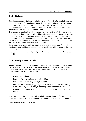### **2.4 Driver**

Spindle automatically builds a small piece of code for each effect, called its driver, that is responsible for running the effect by calling the subroutines at the appropriate time. The driver is typically around 48 bytes in size, and will be located immediately after the effect object. That means you have to be careful not to write beyond the end of your compiled code.

The reason for putting the driver immediately next to the effect object is to improve compression. By putting all machine code close together in RAM, the cruncher is more likely to find common sequences that can be exploited. Of course, if appending the driver would cause the effect object to spill over into some other page that is unavailable (e.g. because it's mentioned in a "P" tag), then the driver will be placed in some other free location instead.

Drivers are also responsible for making calls to the loader and for monitoring conditions (e.g. waiting for space). They typically end with a jump to the next effect driver.

In debug builds (generated by pef2prg), the driver is always located on page 2 (200–2ff).

### **2.5 Early setup code**

You can rely on the Spindle linking framework to carry out certain preparations before launching the first effect. The preparations are only made once, just before the demo starts (or just before the standalone effect starts, in case of a debug build). Specifically, Spindle will make sure to:

- Disable CIA #1 interrupts.
- Enable raster interrupts by writing 1 to d01a.
- Enable keyboard input by writing ff to dc02.
- Block the Restore key by triggering a CIA #2 interrupt and not acknowledging it. You can easily undo this in your code by reading once from dd0d.
- Prepare CIA #1 timer B to assist with stable raster interrupts, as detailed below.

As a convenience for the demo coder, Spindle sets up timer B of CIA #1 to count down repeatedly with a 63-cycle period, synchronised with the raster position. The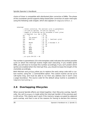choice of timer is compatible with distributed jitter correction of NMIs. The phase of the countdown period supports delay-based jitter correction of raster interrupts using the following code snippet, which also appears in template/effect.s:

```
interrupt
      ; Jitter correction. Put earliest cycle in parenthesis.
      ; (10 with no sprites, 19 with all sprites, ...)
      ; Length of clockslide can be increased if more jitter
      ; is expected, e.g. due to NMIs.
      dec 0 ; 10..18
      sta int_savea+1 ; 15..23<br>1da #39-(10) ; 19..27
      lda #39-(10) ; 19..27 <- (earliest cycle)
      sec ; 21..29
      sbc $dc06 ; 23..31, A becomes 0..8
      sta *+4 ; 27..35<br>bpl *+2 ; 31..39
      bpl *+2lda #$a9 ; 34
      lda #$a9 ; 36
      lda #$a9 ; 38
      lda $eaa5 ; 40
      ; at cycle 34+(10) = 44
```
The number in parenthesis (10 in the template code) indicates the earliest possible cycle on which the interrupt routine might start executing. If you enable sprite DMA, you will have to increase this number accordingly. If you can't predict which sprites are enabled when the interrupt fires, you should increase the length of the clockslide accordingly.

Both Pefchain and pef2prg allow you to replace the early setup code with a custom routine, using the -s commandline option. The custom routine can be up to 128 bytes long, and must be able to run from any address (but it won't cross a page boundary). The source code for the default setup routine is available in template/earlysetup.s.

### **2.6 Overlapping lifecycles**

When several Spindle effects are linked together, their lifecycles overlap. Specifically, the call to prepare is made while the interrupt handler of the previous part is still active. This clearly won't work if the memory ranges occupied by adjacent parts overlap, and that is one of the reasons for having to declare the memory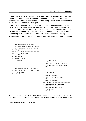usage of each part. If two adjacent parts would collide in memory, Pefchain inserts a blank part between them (and prints a warning about it). The blank part consists of a completely black screen with no badlines, along with an interrupt handler that merely calls the current music player.

Loading is performed while the parts are running. Spindle prefers to load during parts that lack a main routine, but if necessary, it can also schedule some loading operations after fadeout returns with carry set, before the call to cleanup. In dire circumstances, Spindle may be forced to insert a blank part in order to do some loading (e.g. into shadow RAM), in which case it will also print a warning.

The following illustrates the switchover from one (main-less) demo part to another:

| ----- Preparations -----------------                                      |                                       |
|---------------------------------------------------------------------------|---------------------------------------|
| 1. Load any remaining sectors                                             |                                       |
| (and also load as much as possible                                        |                                       |
| in preparation for later parts)                                           |                                       |
| 2. Call prepare                                                           |                                       |
| ----- Switchover -------------------                                      |                                       |
| 3. Disable interrupts                                                     |                                       |
| 4. Install interrupt vector                                               |                                       |
| 5. Call setup                                                             |                                       |
| 6. Enable interrupts                                                      |                                       |
| ----- Running ---------------------- ----- Preparations ----------------- |                                       |
|                                                                           | 1. Load any remaining sectors         |
|                                                                           | (and also load as much as possible    |
|                                                                           | in preparation for later parts)       |
|                                                                           | 2. Call prepare                       |
| 7. Wait for condition (e.g. space)                                        |                                       |
| 8. Call fadeout until it sets carry                                       |                                       |
| ----- Aftermath -------------------- ----- Switchover ------------------- |                                       |
| 9. Call cleanup                                                           |                                       |
|                                                                           | 3. Disable interrupts                 |
|                                                                           | 4. Install interrupt vector           |
|                                                                           | 5. Call setup                         |
|                                                                           | 6. Enable interrupts                  |
|                                                                           | ----- Running ----------------------- |
|                                                                           | 7. Call main until condition          |
|                                                                           | 8. Call main and fadeout              |
|                                                                           | until fadeout sets carry              |
|                                                                           | ----- Aftermath --------------------- |
|                                                                           | 9. Call cleanup                       |
|                                                                           |                                       |

When switching from a demo part with a main routine, the items in the simultaneous Running and Preparations phases are performed in a different order. In this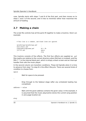case, Spindle starts with steps 7 and 8 of the first part, and then moves on to steps 1 and 2 of the second, and it tries to minimise rather than maximise the amount of loading.

### **2.7 Making a chain**

The script file controls how all the parts fit together to make a trackmo. Here's an example:

|                             | # This line is a comment, and blank lines are ignored. |
|-----------------------------|--------------------------------------------------------|
| spindlelogo/spindlelogo.pef |                                                        |
| music/music.pef             |                                                        |
| ecmplasma/ecmplasma.pef     | $ed = 0b$                                              |
| lft/lft.pef                 | space                                                  |
|                             | stay                                                   |

This trackmo consists of five effects. The first four effects are supplied as .pef files (paths are relative to the current directory when Pefchain is invoked), and the fifth ("-") is the internal blank part, which is simply a black screen and an interrupt handler that calls the music player.

In the second column are transition conditions. These tell Spindle when it is time to advance from step 7 to step 8 in the effect lifecycle. There are several kinds of condition to choose from:

space

Wait for space to be pressed.

-

Drop through to the fadeout stage (after any scheduled loading has completed).

address = value

Wait until the given address contains the given value. In the example, it is assumed that the music playroutine stores the current song position in zero-page location ed.

stay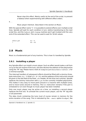Never stop this effect. Mainly useful at the end of the script, to prevent a fadeout when experimenting with different effect orders.

 $\mathbb{Q}$ ...

Music player interlock. Described in the section on Music.

With the special effect name "|", it is possible to extend effects over multiple script lines. Spindle will wait for each condition in turn, before transitioning to the next script line, and the fadeout and cleanup routines won't get invoked until the very end of the extended effect. This can be used to wait for 16-bit values:

```
effect.{}pef 61 = 5
| 60 = 40
```
### **2.8 Music**

Music is a fundamental part of any trackmo. This is how it's handled by Spindle.

### **2.8.1 Installing a player**

Any Spindle effect can install a music player. Such an effect would make a call from setup to the init routine of the tune, and also declare the address of the playroutine using the "M" tag. Please have a look at examples/pefchain/music/install.s for a minimal example.

The interrupt handlers of subsequent effects should be fitted with a dummy threebyte instruction, bit !0 (that's 2c 00 00), and the address of this instruction should be given in the last field of the fixed .efo header. At link time (not runtime), Spindle replaces the dummy instruction with a jsr to the currently installed playroutine. This makes it very easy to move parts around in a trackmo with multiple tunes, and to move tunes around in memory. The bit instruction remains if the part is scheduled to run even though no music player has been installed.

Only one music player may be active at a time, so installing a second player replaces the first one. To uninstall the current music player, use the "M" tag with a null parameter.

The data chunk containing the tune must of course remain in memory for the entire duration of the song. This is indicated by the --music option to mkpef, like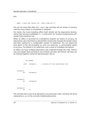this:

mkpef -o music.pef install.efo --music song.sid,,7c

You can list many files after the --music tag, and they will all remain in memory until the music player is uninstalled or replaced.

For clarity, the music-installing effect itself should call the playroutine directly, rather than having a modifiable bit !0 instruction. Its "location of playroutine call" header field should be null.

When an effect is launched as a standalone program by means of pef2prg, its playroutine call is diverted to a placeholder routine that changes the border colour and does nothing for a configurable number of rasterlines. You can adjust the time spent in this call (including jsr and rts) using the -p commandline option to pef2prg. The default is 25 rasterlines, and a value of 0 disables the feature.

An effect can have multiple playroutine calls scattered through the code. There's only one header field, pointing to one of these call sites. But further call sites can be chained together using the operand bytes, like so:

```
... efo header ...
       .word callmusic1 ; location of first playroutine call
       ...
callmusic1
       bit callmusic2
       ...
callmusic2
      bit callmusic3
       ...
callmusic3
       bit !0
```
The call sites don't have to be declared in any particular order, and they will all be replaced by a jsr to the currently installed playroutine.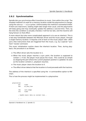### **2.8.2 Synchronisation**

Spindle lets you synchronise effect transitions to music, from within the script. The simplest method is to wait for a memory location inside the playroutine to change, using the address  $=$  value syntax. Unfortunately this method is somewhat brittle: If there are read errors, loading might take longer than usual, and the playroutine will keep going and may eventually update the address a second time. Then, by the time the condition is actually checked, it will be too late, and the trackmo will hang forever on that effect.

A more robust (but also more complicated) approach is to use an interlock. This is a two-way handshake between the Pefchain driver and the music player, through a single memory location. It requires a bit of work on the music player side—often just a few instructions that are triggered from the music, e.g. by a special "sync here" tracker command.

The music initialisation routine clears the interlock location. Then, during playback, the procedure is as follows:

- The effect driver sets the location to 1.
- When the music player reaches a sync point, the location is supposed to contain 1. If not, the player must pause the music. This could be as simple as skipping the part where the current playback position is updated. As soon as the location contains 1, playback resumes.
- The music player clears the location to 0.
- The effect driver detects that the location is 0 and proceeds with the trackmo.

The address of the interlock is specified using the -@ commandline option to Pefchain.

This is how the process might be implemented in a playroutine:

```
playroutine
       dec timer
       bne no_new_line
       lda curr_tempo
       sta timer
       ; handle music data on current line...
       ; ...
```
Operator's Handbook rev. 2, Spindle 3.1 35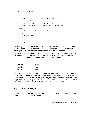|             | cmp      | $\# \ldots$                   | ; do we have a sync command?  |
|-------------|----------|-------------------------------|-------------------------------|
|             | bne      | no_sync                       |                               |
|             | lsr      | INTERLOCK                     | ; clear and check             |
|             | bcc      | no_new_line                   | ; loading error, sync delayed |
| no_sync     |          |                               |                               |
|             | inc      | curr_line                     | ; advance to next line        |
| no_new_line |          |                               |                               |
|             |          | ; update glides, vibrato etc. |                               |
|             | $\ddots$ |                               |                               |
|             |          |                               |                               |
|             | rts      |                               |                               |

Pefchain ignores any characters following the "@" in the condition column. Thus, a music packer could be made to look at the Spindle effect script and automatically insert sync points into the music data based on these annotations.

The Blackbird music packer (called birdcruncher) supports this syntax: It can scan a Spindle script for sync points in the format @SS:TT where SS is the song position and TT is the track position, in hex. Given the following script:

| part1.pef | @05:00 |
|-----------|--------|
| part2.pef | @0c:18 |
| part3.pef | @10:00 |
| part4.pef | stay   |

birdcruncher inserts three sync points into the music data (the first at song position 5, track position 0). Later in the build process, the music data is presumably baked into a .pef that installs the music player. Finally, Pefchain reads the same script (and the .pef file) and uses the interlock system to trigger the fadeout of the first three demo parts when those sync points are encountered.

### **2.9 Visualisation**

Apart from producing a D64 image, Pefchain prints a chart detailing the memory usage of every effect. Here is an example: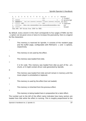0 1 2 3 4 5 6 7 8 9 a b c d e f sectors r|......................................\*\*\*..................... 5 (loader) r|..\*\*\*\*\*\*..............................ccc................\*.... 14 spindlelogo r\*..MMMMMM\*\*\*...\*\*\*.\*\*\*.\*\*\*\*\*\*\*.\*\*\*\*\*\*\*.|||\*\*\*\*.\*\*\*\*\*\*\*.\*\*\*c\*\*\*. 84 music r...||||||..LUU....................c....\*\*\*....................U 4 ecmplasma r...||||||cc...ULLL.LLL.LLLLLLLULLL.LLL.LLLLLLLULLLLLLLULLL.LLL. lft rc..||||||...................................................... (blank) demo.d64: 557 blocks free (538 for DOS).

By default, every column in the chart corresponds to four pages of RAM, but the -w option can be given once or twice to increase the granularity. Here is a legend for the characters:

r

.

L

This memory is reserved for Spindle. It consists of the resident page and the buffer page, configurable with Pefchain's  $-r$  and  $-b$  options, respectively.

This memory is not used by the effect.

This memory was loaded from disk.

c

C is for code. This memory was loaded from disk as part of the .efo chunk, or it might contain driver code generated by Spindle.

M

U

This memory was loaded from disk and will remain in memory until the music player is uninstalled or replaced.

This memory is used by the effect (but not loaded).

This memory is inherited from the previous effect.

\*

|

This memory is being loaded here in preparation for a later effect.

The number just to the left of the effect name indicates how many sectors are loaded from disk while the effect is running. This is roughly proportional to the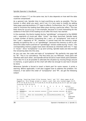number of stars ("\*") on the same row, but it also depends on how well the data could be compressed.

As a general rule, Spindle tries to load everthing as early as possible. This behaviour is often what you want, and if not, it is very easy to modify by adding false page-used declarations ("P" tags) to effects. Furthermore, the "X" tag can be used to minimise the loading that takes place during a particular effect. This has been done for spindlelogo in the example, because it is more interesting for the audience if the bulk of the loading occurs after the music has started.

In the example, the blocks loaded during "spindlelogo" correspond to the MMMMM and c segments of music.pef. After "music" has been launched, Spindle loads a large number of blocks comprising the L and c of "ecmplasma" and most of the L and c segments of "lft". However, it cannot load into the memory range already occupied by the ccc of "spindlelogo", because this memory is still in use: Since the video matrix and font of "spindlelogo" remain visible during "music", the corresponding memory pages have been declared as inherited (with the "I" tag) in "music". Once "ecmplasma" is up and running, Spindle loads and decrunches the remaining data into this area.

As you can see, the code and data of "ecmplasma" fits perfectly into gaps left by "lft". This is no coincidence: The first time you run Pefchain, most parts will interfere with each other, and Spindle will be forced to insert blank parts between them. But if it is at all possible to alleviate the situation by moving things around in memory, a quick glance at the chart will often be enough to see how it should be done.

Whenever Spindle is forced to insert a blank part for some reason, it prints a warning. Where applicable, it will also suggest how to address the problem. For instance, if we switch the order of "ecmplasma" and "lft", we get the following output:

| Warning: Inserting blank filler because 'music' and 'lft' share pages a0-a8.<br>Suggestion: Move things around or insert a part that only touches pages 04-0f, |         |
|----------------------------------------------------------------------------------------------------------------------------------------------------------------|---------|
| 25-27, 2e-3d, 4b-4f, 5c-5f, 79-7b, 8b-8f, 9c-9f, b9-bb, d9-db, ed-ef, fb-ff and zero-page                                                                      |         |
|                                                                                                                                                                |         |
| locations $02, 20 - f3, f9 - f f$ .                                                                                                                            |         |
| 0 1 2 3 4 5 6 7 8 9 a b c d e f sectors                                                                                                                        |         |
|                                                                                                                                                                |         |
|                                                                                                                                                                |         |
|                                                                                                                                                                |         |
|                                                                                                                                                                |         |
| $r       cc$ ULLL.LLL.LLLLLLUULLL.LLL.LLLLLLUULLLLLLUULLL.LLL.                                                                                                 | lft     |
|                                                                                                                                                                |         |
|                                                                                                                                                                | (blank) |

38 Operator's Handbook rev. 2, Spindle 3.1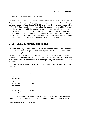```
demo.d64: 556 blocks free (538 for DOS).
```
Depending on the demo, the brief black intermission might not be a problem. Another way of addressing the problem, as is visually clear from the chart, would be to relocate all of "spindlelogo" to 3400 (and adjust the inheritance declarations in "music"). But a third option is to follow the suggestion and add a filler part that doesn't interfere with the memory of its neighbours. Spindle lists all memory pages and zero-page locations that are free. Be aware, however, that Spindle currently doesn't track zero-page addresses used by the music player, so you have to take care of that yourself. For instance, my playroutine uses zero-page locations from e0 up, so I just make sure to stay below that for effect code.

### **2.10 Labels, jumps, and loops**

Spindle is primarily designed and optimised for linear trackmos, where all data is loaded in a predictable sequence. But, starting with Spindle 3.0, non-linear loading is possible using labels.

Labels appear on a line of their own, as a number in the range 00–3f followed by a colon. They can appear in any order in the script, and multiple labels may refer to the same effect, but each label must be unique; they can be thought of as 6-bit filenames.

For instance, this is what an effect script might look like for a demo with a part selector:

| intro.pef                            | space |
|--------------------------------------|-------|
| 0:<br>select.pef                     |       |
| $1a$ :<br>effect1.pef<br>go-back.pef | space |
| $1b$ :<br>effect2.pef<br>go-back.pef | space |

In the above example, the effects called "select" and "go-back" are supposed to trigger jumps in the sequence. To do this, first of all they need to declare the "J" tag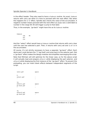Spindle Operator's Handbook

in the effect header. They also need to have a fadeout routine. As usual, fadeout returns with carry set when it's time to proceed with the next effect. But when this happens for a "J" effect, Spindle also checks the value of the accumulator. A negative number means proceed with the next effect as usual, but a valid label (a number in the range 00–3f) will trigger a jump to that label.

Thus, in the example, "go-back" might have this as its fadeout routine:

$$
\begin{matrix} \text{fadeout} \\ \text{lda} \\ \text{sec} \\ \text{rts} \end{matrix} \text{\#0}
$$

And the "select" effect would have a fadeout routine that returns with carry clear until the user has selected a part. Then, it returns with carry set and 1a or 1b in the accumulator.

Of course, it's not strictly necessary to have a separate "go-back" effect: Each demo part could declare the "J" tag itself, and jump back to the selector part. But a "go-back" effect makes the design modular and simplifies rearranging the script.

Note that Pefchain will still optimise for the linear case, so for the above script it will actually load and prepare effect1 while displaying the part selector, and effect2 while displaying the first instance of the "go-back" effect. To prevent this preloading, you can insert blank effects between independent segments of the script:

| intro.pef                            | space |
|--------------------------------------|-------|
| 0:<br>select.pef                     |       |
| 1a:<br>effect1.pef<br>go-back.pef    | space |
| $1b$ :<br>effect2.pef<br>go-back.pef | space |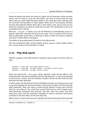Please be aware that when you jump to a label, the old interrupt routine remains active until it's time to setup the new effect. You have to ensure that the new effect (and any other data that gets loaded in the same go) won't interfere with the currently running effect or music player. When you're not jumping, Pefchain ensures that adjacent effects don't get in each other's way, but as soon as you break the sequence you have to check this yourself. The visualisation chart is an invaluable tool for the job.

With the --loop (or -L) option, you can tell Pefchain to automatically jump to a specific label after reaching the end of the script. This is a special kind of jump that is predictable at link time, so Pefchain is able to check for memory collisions and insert a blank effect if necessary.

The ability to jump adds about 40 bytes to the effect driver.

The new (jumped-to) effect will be loaded, and its prepare routine called, before the cleanup routine of the old effect is called.

### **2.11 Flip-disk parts**

Pefchain supports multi-side trackmos using the same system of knock codes as Spin:

```
pefchain -o side1.d64 --next-magic 86bc4f script1
pefchain -o side2.d64 --my-magic 86bc4f --next-magic c2c278 script2
pefchain -o side3.d64 --my-magic c2c278 script3
```
When you specify the --next-magic option, pefchain treats the last effect in the script specially. This will be referred to as the "flip-disk part". It will not be allowed to have a main routine, and its transition condition will be the fact that the next disk side has been detected.

In other words, the flip-disk part will be initialised normally, by calling prepare and setup and installing the interrupt handler. It will remain in effect until the new disk side is detected. Then, the fadeout routine will be called in a loop until it returns with the carry flag set. You could thus use the first fadeout call to trigger some interrupt-driven animation that removes "flip disk" from the screen, and then keep carry clear until the animation completes in order to prevent a premature transition to the first effect on the next disk side.

When fadeout returns with carry set, Spindle will load the first part of the next disk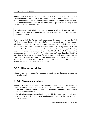side and prepare it while the flip-disk part remains active. When this is done, the cleanup routine of the flip-disk part is called. In this way, you can keep interesting things on the screen until the call to cleanup comes; in it, trigger some interruptdriven animation to really fade out the effect, and busywait in the cleanup routine until this animation has completed.

In earlier versions of Spindle, the cleanup routine of a flip-disk part was called before the first prepare routine on the new disk side. This inconsistency has been fixed in version 3.0.

Keep in mind that the flip-disk part mustn't use the same memory as the first effect on the next disk side. Normally, Pefchain would assist you in detecting such collisions, but it cannot help you here since disk sides are compiled separately.

Finally, it may be useful to be able to detect whether the first part on a disk side was launched due to a transition from the previous disk side, or directly from the regular boot loader (e.g. starting in the middle of the trackmo). Before calling the prepare and setup routines of the first effect on a disk side, Spindle will set the carry flag if there was a transition from the previous disk side (we've "carried over"), or if the effect was reached from a jump; otherwise—i.e. if the effect was started directly from the bootstrap—carry will be clear. For effects later on in the scripts, the state of the carry flag is undefined.

### **2.12 Streaming data**

Pefchain provides two separate mechanisms for streaming data, one for graphics and one for music.

### **2.12.1 Streaming graphics**

Normally, a packed effect describes a number of data chunks that should be present in memory when the effect starts. But with the --stream option to mkpef, it is possible to specify a series of chunks to be loaded in sequence, across subsequent entries in the effect script.

In the following example, data chunks are specified with an explicit loading address, to make it easier to see what's going on. Normal .prg files are also supported, of course.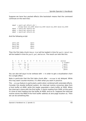Suppose we have four packed effects (the backslash means that the command continues on the next line):

```
mkpef -o part1.pef effect1.efo \
     --stream data1.bin,4000 data2.bin,5000 data3.bin,4000 data4.bin,5000
mkpef -o part2.pef effect2.efo
mkpef -o part3.pef effect3.efo
mkpef -o part4.pef effect4.efo
```
And the following script:

| part1.pef | space |
|-----------|-------|
| part2.pef | space |
| part3.pef | space |
| part4.pef | space |

Then the first data chunk (data1.bin) will be loaded in time for part1, data2.bin will be loaded in time for part2.pef, and so on. The result can look like this:

|  |  |  |  |  |  |  |  | 0 1 2 3 4 5 6 7 8 9 a b c d e f sectors |
|--|--|--|--|--|--|--|--|-----------------------------------------|
|  |  |  |  |  |  |  |  |                                         |
|  |  |  |  |  |  |  |  |                                         |
|  |  |  |  |  |  |  |  |                                         |
|  |  |  |  |  |  |  |  |                                         |
|  |  |  |  |  |  |  |  |                                         |

You can also tell mkpef to be verbose with -v in order to get a visualisation chart for a single effect.

Note in particular that the first data chunk after --stream is not delayed. While this may seem counter-intuitive, it's often what you want in practice.

The --stream feature is particularly useful when combined with extended effects. Consider this double buffered system: An interrupt routine consumes data from a front buffer at 4000, while the loader populates a back buffer at 5000. When the interrupt is done with the first buffer, it starts reading from 5000; at this point it's time to start loading into the buffer at 4000, and so on. Suppose the interrupt routine stores the MSB of the front buffer address at zero-page location a1. Then we can do something like: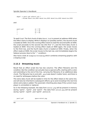```
Spindle Operator's Handbook
```

```
mkpef -o part1.pef effect1.efo \
      --stream data1.bin,4000 data2.bin,5000 data3.bin,4000 data4.bin,5000
and
  part1.pef a1 = 50| a1 = 40
  | a1 = 50
  | -
```
To spell it out: The first chunk of data (data1.bin) is present at address 4000 when the effect starts to display. While it displays (or possibly earlier), the second chunk is loaded at 5000. Once the running effect starts to read the second buffer at 5000, the script proceeds to the second row (the first "|"), and the third data chunk is loaded at 4000. Once the running effect reads at 4000 again, the script moves to the third row, and the fourth data chunk is loaded at 5000. Finally, when the effect reads at 5000, the script moves to the last row, and immediately begins the fadeout process (due to the "-" condition).

Also have a look at examples/streaming which combines streaming graphics with a looping script.

### **2.12.2 Streaming music**

Recall that an effect script line has two columns: The effect filename and the condition. But the condition can actually have a special suffix, starting with a colon and extending to the end of the line, carrying the filename of an additional data chunk. The filename has to end with .prg (case doesn't matter here), and there is no need for whitespace before the colon.

The extra data chunk will be loaded in time for the effect listed on the same line, and will also be inherited to subsequent effects up to (and including!) the next line where extra data is added. The automatic inheriting also stops if the current music player is uninstalled or replaced.

So in the following example, the data from extra1.prg will be present in memory during "part1", "part2", and "part3". The data from extra2.prg will be present during "part3", "part4", and "part5", and so on.

part1.pef space:extra1.prg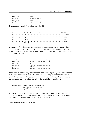| part2.pef | space             |
|-----------|-------------------|
| part3.pef | space: extra2.prg |
| part4.pef | space             |
| part5.pef | space: extra3.prg |

The resulting visualisation might look like this:

|  |  |  |  |  |  |  |  | 0 1 2 3 4 5 6 7 8 9 a b c d e f sectors |
|--|--|--|--|--|--|--|--|-----------------------------------------|
|  |  |  |  |  |  |  |  |                                         |
|  |  |  |  |  |  |  |  |                                         |
|  |  |  |  |  |  |  |  |                                         |
|  |  |  |  |  |  |  |  |                                         |
|  |  |  |  |  |  |  |  |                                         |
|  |  |  |  |  |  |  |  |                                         |

The Blackbird music packer (called birdcruncher) supports this syntax. When you tell birdcruncher to use the distributed output format, it can look at a Pefchain script and create the necessary data chunks and sync points. A complete script might look like this:

| install-music.pef | :musicdata1.prg            |
|-------------------|----------------------------|
| part1.pef         | @05:00:1c00:musicdata2.py  |
| part2.pef         | @0c:18                     |
| part3.pef         | @10:00:1800:musicdata3.pyg |
| part4.pef         | @11:00                     |
| part5.pef         | @11:0c:1c00:musicdata4.prg |

The Blackbird packer only looks at characters following an "@" and expects them to follow a particular syntax. The initial chunk is only meant for Pefchain, so we can indulge in some whitespace to make the filenames line up. The corresponding birdcruncher commandline might look like this (all on a single line):

birdcruncher -t dist -o music-resident.prg -s 00:00:1800:musicdata1.prg -@ pefchain-script song.bb

A certain amount of manual fiddling is required to find the best loading spots and buffer sizes, but on the whole, Spindle and Blackbird form a very powerful toolchain for creating trackmos with streaming music.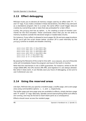### **2.13 Effect debugging**

Pefchain trusts you to declare all memory ranges used by an effect with "P", "I", and "Z" tags. If you make a mistake in these declarations, the effect may still work as a standalone program. But in a script, the same effect could trigger obscure crashes by overwriting code or data that was preloaded for a later effect.

Luckily, the pef2prg tool has an option, -m, for creating a script of monitor commands for the Vice emulator. These commands check that you do not write to memory locations outside the declared ranges or loaded data chunks.

For instance, if your effect is allowed to touch pages 30–3b and zero-page locations 90–9f, you'd get the script shown below. Location 2ff is used internally by the pef2prg runtime to enable and disable checking.

watch store 0200 02fe if @ram:\$2ff==\$aa watch store 0300 2fff if @ram:\$2ff==\$aa watch store 3c00 cfff if @ram:\$2ff==\$aa watch store e000 fff9 if @ram:\$2ff==\$aa watch store 02 8f if @ram:\$2ff==\$aa watch store a0 ff if @ram:\$2ff==\$aa

By passing the filename of the script to Vice with -moncommands, any out-of-bounds write will immediately freeze the program and launch the built-in monitor.

Note that this mechanism is not a 100% guarantee. For instance, writes to the I/O range (d000-dfff), the CPU vectors (fffc-ffff), and registers 0–1 are always allowed. But when it does work, it can literally save you hours of debugging, so be sure to use it whenever you can.

### **2.14 Using the reserved areas**

Like Spin, Pefchain lets you specify a resident page, a buffer page, and a zero-page area using commandline options -r, -b, and -z, respectively.

The buffer page and zero-page area are available to effects; simply declare usage with "P" and/or "Z" tags. Naturally, Spindle cannot load anything while such effects are running, and may be forced to insert blank parts as a consequence.

Effects should never access the resident page.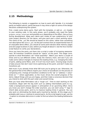### **2.15 Methodology**

The following is merely a suggestion on how to work with Spindle. It is included partly as helpful advice, partly because it may shine a light on some of the design decisions underpinning the system.

First, create some demo parts. Start with the template, or add an .efo header to your existing code. In this early phase, you'll probably only need the fields prepare, setup, interrupt and possibly main depending on the effect. Use pef2prg during development. Keep each demo part inside its own subdirectory of your main project directory for the demo, and give each part a short working name. The name of the .pef file should be based on this name, rather than something non-descriptive like effect.pef. As the part evolves from an experimental hack to an enjoyable demo effect, you should at some point declare what memory pages and zero-page locations it uses, before you forget all about it. Use the Vice monitor script feature to verify your declarations.

Once you have the parts, put them into a script in order of increasing awesomeness. All transition conditions should be "space" at this point. This stage corresponds to what filmmakers call "initial assembly". Watch your demo a couple of times and try out different orders. Study the memory chart, and see if you can make some radical changes to improve the loading times, e.g. changing the order of parts, adding some fillers, and—if it isn't too much work—moving large chunks of data around. But don't start micro-optimising at this point, and don't make any transitions yet.

Add music if you already know what SID tune you're going to use. Otherwise, let the general flow of the effects inspire your choice of soundtrack (or the process of composing one). Change all transition conditions to the " $@$ " or "address = value" kinds (or "-" where applicable), so the music drives the overall progress of the demo. Adjust things until you are happy, and then make a conscious decision that you intend to stick with this part order and overall timing.

Now you have what filmmakers call a "rough cut". Time to start working on the transitions. Begin with the big stuff, such as adding intermediate parts to e.g. make a background picture appear in anticipation of an upcoming effect. Since you know you won't change the order anymore, you can start using "I" tags to inherit data across parts, and try to improve loading times in general. You can also work on eliminating the blank parts inserted by Spindle. At this stage you'll probably add fadeout routines to several parts. As the script begins to gel, use the -E option to simulate disk errors in order to find out where the loading bottlenecks are.